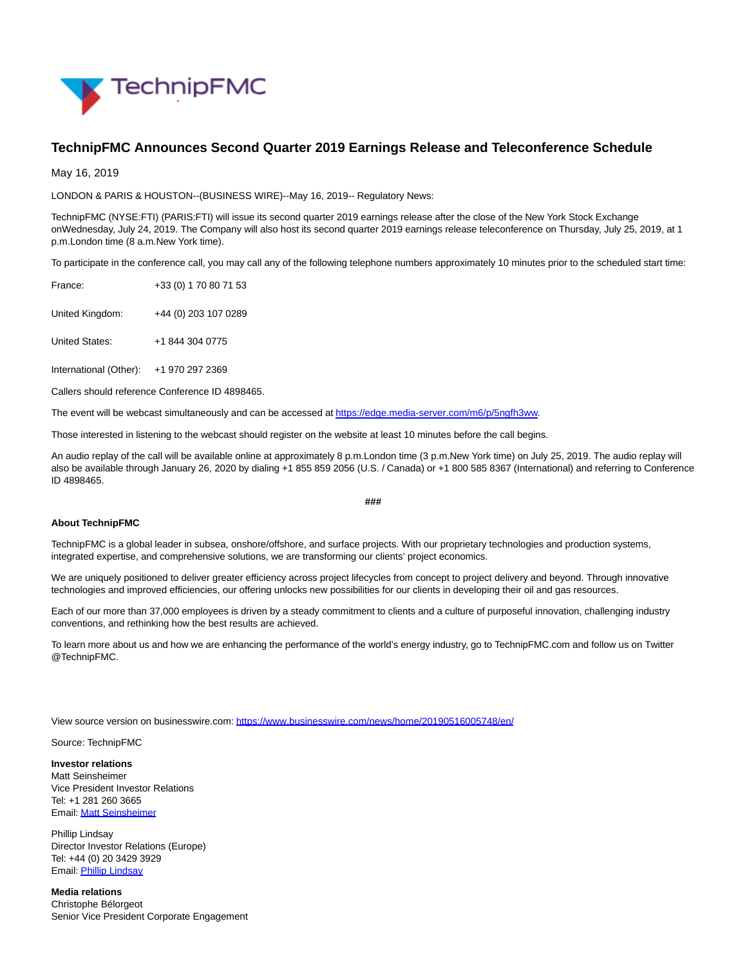

## **TechnipFMC Announces Second Quarter 2019 Earnings Release and Teleconference Schedule**

May 16, 2019

LONDON & PARIS & HOUSTON--(BUSINESS WIRE)--May 16, 2019-- Regulatory News:

TechnipFMC (NYSE:FTI) (PARIS:FTI) will issue its second quarter 2019 earnings release after the close of the New York Stock Exchange onWednesday, July 24, 2019. The Company will also host its second quarter 2019 earnings release teleconference on Thursday, July 25, 2019, at 1 p.m.London time (8 a.m.New York time).

To participate in the conference call, you may call any of the following telephone numbers approximately 10 minutes prior to the scheduled start time:

| France:         | +33 (0) 1 70 80 71 53 |
|-----------------|-----------------------|
| United Kingdom: | +44 (0) 203 107 0289  |

United States: +1 844 304 0775

International (Other): +1 970 297 2369

Callers should reference Conference ID 4898465.

The event will be webcast simultaneously and can be accessed a[t https://edge.media-server.com/m6/p/5ngfh3ww.](https://cts.businesswire.com/ct/CT?id=smartlink&url=https%3A%2F%2Fedge.media-server.com%2Fm6%2Fp%2F5ngfh3ww&esheet=51986047&newsitemid=20190516005748&lan=en-US&anchor=https%3A%2F%2Fedge.media-server.com%2Fm6%2Fp%2F5ngfh3ww&index=1&md5=61da3653cd72e35e0f0a43926436bec9)

Those interested in listening to the webcast should register on the website at least 10 minutes before the call begins.

An audio replay of the call will be available online at approximately 8 p.m.London time (3 p.m.New York time) on July 25, 2019. The audio replay will also be available through January 26, 2020 by dialing +1 855 859 2056 (U.S. / Canada) or +1 800 585 8367 (International) and referring to Conference ID 4898465.

## **###**

## **About TechnipFMC**

TechnipFMC is a global leader in subsea, onshore/offshore, and surface projects. With our proprietary technologies and production systems, integrated expertise, and comprehensive solutions, we are transforming our clients' project economics.

We are uniquely positioned to deliver greater efficiency across project lifecycles from concept to project delivery and beyond. Through innovative technologies and improved efficiencies, our offering unlocks new possibilities for our clients in developing their oil and gas resources.

Each of our more than 37,000 employees is driven by a steady commitment to clients and a culture of purposeful innovation, challenging industry conventions, and rethinking how the best results are achieved.

To learn more about us and how we are enhancing the performance of the world's energy industry, go to TechnipFMC.com and follow us on Twitter @TechnipFMC.

View source version on businesswire.com:<https://www.businesswire.com/news/home/20190516005748/en/>

Source: TechnipFMC

**Investor relations** Matt Seinsheimer Vice President Investor Relations Tel: +1 281 260 3665

Email[: Matt Seinsheimer](mailto:InvestorRelations@TechnipFMC.com)

Phillip Lindsay Director Investor Relations (Europe) Tel: +44 (0) 20 3429 3929 Email[: Phillip Lindsay](mailto:InvestorRelations@TechnipFMC.com)

**Media relations** Christophe Bélorgeot Senior Vice President Corporate Engagement